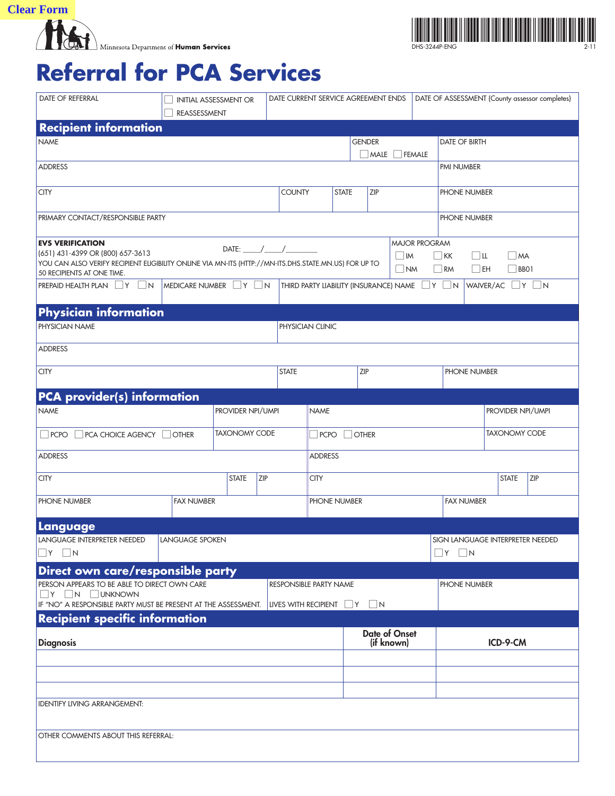**Clear Form**<br>Minnesota Department of Human Services



## **Referral for PCA Services**

| <b>DATE OF REFERRAL</b>                                                                                                                                                 | DATE CURRENT SERVICE AGREEMENT ENDS<br><b>INITIAL ASSESSMENT OR</b><br>REASSESSMENT |               |                                                          |                                        |                                       |              |                  |                      |                      |                   |                                                                      | DATE OF ASSESSMENT (County assessor completes) |  |  |  |  |
|-------------------------------------------------------------------------------------------------------------------------------------------------------------------------|-------------------------------------------------------------------------------------|---------------|----------------------------------------------------------|----------------------------------------|---------------------------------------|--------------|------------------|----------------------|----------------------|-------------------|----------------------------------------------------------------------|------------------------------------------------|--|--|--|--|
| <b>Recipient information</b>                                                                                                                                            |                                                                                     |               |                                                          |                                        |                                       |              |                  |                      |                      |                   |                                                                      |                                                |  |  |  |  |
| <b>NAME</b>                                                                                                                                                             |                                                                                     | <b>GENDER</b> |                                                          |                                        |                                       |              | DATE OF BIRTH    |                      |                      |                   |                                                                      |                                                |  |  |  |  |
|                                                                                                                                                                         |                                                                                     |               |                                                          |                                        |                                       |              | MALE  <br>FEMALE |                      |                      |                   |                                                                      |                                                |  |  |  |  |
| <b>ADDRESS</b>                                                                                                                                                          |                                                                                     |               |                                                          |                                        |                                       |              |                  |                      |                      | PMI NUMBER        |                                                                      |                                                |  |  |  |  |
| <b>CITY</b>                                                                                                                                                             |                                                                                     |               |                                                          |                                        | <b>COUNTY</b>                         | <b>STATE</b> | <b>ZIP</b>       |                      |                      |                   | PHONE NUMBER                                                         |                                                |  |  |  |  |
| PRIMARY CONTACT/RESPONSIBLE PARTY                                                                                                                                       |                                                                                     |               |                                                          |                                        |                                       |              |                  |                      |                      | PHONE NUMBER      |                                                                      |                                                |  |  |  |  |
| <b>EVS VERIFICATION</b>                                                                                                                                                 |                                                                                     |               |                                                          |                                        |                                       |              |                  |                      | <b>MAJOR PROGRAM</b> |                   |                                                                      |                                                |  |  |  |  |
| (651) 431-4399 OR (800) 657-3613<br>YOU CAN ALSO VERIFY RECIPIENT ELIGIBILITY ONLINE VIA MN-ITS (HTTP://MN-ITS.DHS.STATE.MN.US) FOR UP TO<br>50 RECIPIENTS AT ONE TIME. |                                                                                     |               |                                                          |                                        | $\Box$ IM<br>$\overline{\mathsf{NM}}$ |              |                  |                      |                      |                   | $\Box$ KK<br>$\Box$ u<br>$M^2$<br>$\Box$ RM<br>$\Box$ EH<br>$ $ BBO1 |                                                |  |  |  |  |
| $PREPAID HEALTH PLAN$ $ Y N$                                                                                                                                            | MEDICARE NUMBER TY TN                                                               |               | THIRD PARTY LIABILITY (INSURANCE) NAME $\Box$ Y $\Box$ N |                                        |                                       |              |                  |                      | WAIVER/AC Y N        |                   |                                                                      |                                                |  |  |  |  |
| <b>Physician information</b>                                                                                                                                            |                                                                                     |               |                                                          |                                        |                                       |              |                  |                      |                      |                   |                                                                      |                                                |  |  |  |  |
| PHYSICIAN NAME                                                                                                                                                          |                                                                                     |               |                                                          |                                        | PHYSICIAN CLINIC                      |              |                  |                      |                      |                   |                                                                      |                                                |  |  |  |  |
| <b>ADDRESS</b>                                                                                                                                                          |                                                                                     |               |                                                          |                                        |                                       |              |                  |                      |                      |                   |                                                                      |                                                |  |  |  |  |
| <b>CITY</b>                                                                                                                                                             |                                                                                     |               | <b>STATE</b>                                             |                                        |                                       |              | ZIP              |                      |                      |                   | PHONE NUMBER                                                         |                                                |  |  |  |  |
| <b>PCA provider(s) information</b>                                                                                                                                      |                                                                                     |               |                                                          |                                        |                                       |              |                  |                      |                      |                   |                                                                      |                                                |  |  |  |  |
| <b>NAME</b><br>PROVIDER NPI/UMPI                                                                                                                                        |                                                                                     |               |                                                          |                                        |                                       |              |                  |                      | PROVIDER NPI/UMPI    |                   |                                                                      |                                                |  |  |  |  |
| <b>TAXONOMY CODE</b><br>$\Box$ PCPO<br>PCA CHOICE AGENCY   OTHER                                                                                                        |                                                                                     |               |                                                          |                                        | <b>OTHER</b><br>$\Box$ PCPO           |              |                  |                      |                      |                   | <b>TAXONOMY CODE</b>                                                 |                                                |  |  |  |  |
| <b>ADDRESS</b>                                                                                                                                                          |                                                                                     |               |                                                          |                                        | <b>ADDRESS</b>                        |              |                  |                      |                      |                   |                                                                      |                                                |  |  |  |  |
| <b>STATE</b><br><b>CITY</b>                                                                                                                                             |                                                                                     |               | ZIP                                                      | <b>CITY</b>                            |                                       |              |                  |                      |                      |                   | <b>STATE</b><br><b>ZIP</b>                                           |                                                |  |  |  |  |
| PHONE NUMBER                                                                                                                                                            | <b>FAX NUMBER</b>                                                                   |               |                                                          |                                        | PHONE NUMBER                          |              |                  |                      |                      | <b>FAX NUMBER</b> |                                                                      |                                                |  |  |  |  |
| Language                                                                                                                                                                |                                                                                     |               |                                                          |                                        |                                       |              |                  |                      |                      |                   |                                                                      |                                                |  |  |  |  |
| LANGUAGE INTERPRETER NEEDED<br><b>LANGUAGE SPOKEN</b>                                                                                                                   |                                                                                     |               |                                                          |                                        |                                       |              |                  |                      |                      |                   | SIGN LANGUAGE INTERPRETER NEEDED                                     |                                                |  |  |  |  |
| $\Box$ Y $\Box$ N                                                                                                                                                       |                                                                                     |               |                                                          |                                        |                                       |              |                  |                      |                      |                   | $\vert$ N<br> Y                                                      |                                                |  |  |  |  |
| Direct own care/responsible party<br>PERSON APPEARS TO BE ABLE TO DIRECT OWN CARE<br><b>RESPONSIBLE PARTY NAME</b><br>PHONE NUMBER                                      |                                                                                     |               |                                                          |                                        |                                       |              |                  |                      |                      |                   |                                                                      |                                                |  |  |  |  |
| $\neg Y \Box N \Box UNKNOWN$<br>IF "NO" A RESPONSIBLE PARTY MUST BE PRESENT AT THE ASSESSMENT.                                                                          |                                                                                     |               |                                                          |                                        |                                       |              |                  |                      |                      |                   |                                                                      |                                                |  |  |  |  |
| <b>Recipient specific information</b>                                                                                                                                   |                                                                                     |               |                                                          | LIVES WITH RECIPIENT $\Box$ Y $\Box$ N |                                       |              |                  |                      |                      |                   |                                                                      |                                                |  |  |  |  |
|                                                                                                                                                                         |                                                                                     |               |                                                          |                                        |                                       |              |                  | <b>Date of Onset</b> |                      |                   |                                                                      |                                                |  |  |  |  |
| <b>Diagnosis</b>                                                                                                                                                        |                                                                                     |               |                                                          |                                        |                                       |              |                  | (if known)           |                      |                   |                                                                      | ICD-9-CM                                       |  |  |  |  |
|                                                                                                                                                                         |                                                                                     |               |                                                          |                                        |                                       |              |                  |                      |                      |                   |                                                                      |                                                |  |  |  |  |
|                                                                                                                                                                         |                                                                                     |               |                                                          |                                        |                                       |              |                  |                      |                      |                   |                                                                      |                                                |  |  |  |  |
| <b>IDENTIFY LIVING ARRANGEMENT:</b>                                                                                                                                     |                                                                                     |               |                                                          |                                        |                                       |              |                  |                      |                      |                   |                                                                      |                                                |  |  |  |  |
|                                                                                                                                                                         |                                                                                     |               |                                                          |                                        |                                       |              |                  |                      |                      |                   |                                                                      |                                                |  |  |  |  |
| OTHER COMMENTS ABOUT THIS REFERRAL:                                                                                                                                     |                                                                                     |               |                                                          |                                        |                                       |              |                  |                      |                      |                   |                                                                      |                                                |  |  |  |  |
|                                                                                                                                                                         |                                                                                     |               |                                                          |                                        |                                       |              |                  |                      |                      |                   |                                                                      |                                                |  |  |  |  |